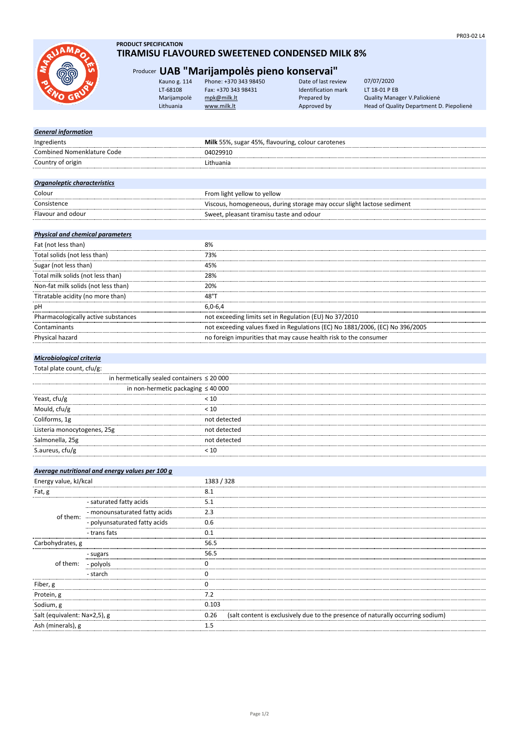

#### **PRODUCT SPECIFICATION TIRAMISU FLAVOURED SWEETENED CONDENSED MILK 8%**

# Producer **UAB "Marijampolės pieno konservai"**

| Kauno g. 114 | Phone: +370 343 98450 | Date of last review | 07/07/2020                               |
|--------------|-----------------------|---------------------|------------------------------------------|
| LT-68108     | Fax: +370 343 98431   | Identification mark | LT 18-01 P EB                            |
| Marijampolė  | mpk@milk.lt           | Prepared by         | Quality Manager V. Paliokienė            |
| Lithuania    | www.milk.lt           | Approved by         | Head of Quality Department D. Piepolienė |
|              |                       |                     |                                          |

# *General information*

| Ingredients                       | Milk 55%, sugar 45%, flavouring, colour carotenes                      |
|-----------------------------------|------------------------------------------------------------------------|
| <b>Combined Nomenklature Code</b> | 04029910                                                               |
| Country of origin                 | Lithuania                                                              |
|                                   |                                                                        |
| Organoleptic characteristics      |                                                                        |
| Colour                            | From light yellow to yellow                                            |
| Consistence                       | Viscous, homogeneous, during storage may occur slight lactose sediment |
| Flavour and odour                 | Sweet, pleasant tiramisu taste and odour                               |

## *Physical and chemical parameters*

| Fat (not less than)                 | 8%                                                                            |
|-------------------------------------|-------------------------------------------------------------------------------|
| Total solids (not less than)        | 73%                                                                           |
| Sugar (not less than)               | 45%                                                                           |
| Total milk solids (not less than)   | 28%                                                                           |
| Non-fat milk solids (not less than) | 20%                                                                           |
| Titratable acidity (no more than)   | 48°T                                                                          |
| рH                                  | $6.0 - 6.4$                                                                   |
| Pharmacologically active substances | not exceeding limits set in Regulation (EU) No 37/2010                        |
| Contaminants                        | not exceeding values fixed in Regulations (EC) No 1881/2006, (EC) No 396/2005 |
| <b>Physical hazard</b>              | no foreign impurities that may cause health risk to the consumer              |

## *Microbiological criteria*

#### Total plate count, cfu/g:

|                             | in hermetically sealed containers $\leq 20000$ |  |
|-----------------------------|------------------------------------------------|--|
|                             | in non-hermetic packaging $\leq 40000$         |  |
| Yeast, cfu/g                | < 10                                           |  |
| Mould, cfu/g                | < 10                                           |  |
| Coliforms, 1g               | not detected                                   |  |
| Listeria monocytogenes, 25g | not detected                                   |  |
| Salmonella, 25g             | not detected                                   |  |
| S.aureus, cfu/g             |                                                |  |
|                             |                                                |  |

|                              | Average nutritional and energy values per 100 g |            |                                                                                 |
|------------------------------|-------------------------------------------------|------------|---------------------------------------------------------------------------------|
| Energy value, kJ/kcal        |                                                 | 1383 / 328 |                                                                                 |
| Fat, g                       |                                                 | 8.1        |                                                                                 |
| of them:                     | - saturated fatty acids                         | 5.1        |                                                                                 |
|                              | - monounsaturated fatty acids                   | 2.3        |                                                                                 |
|                              | - polyunsaturated fatty acids                   | 0.6        |                                                                                 |
|                              | - trans fats                                    | 0.1        |                                                                                 |
| Carbohydrates, g             |                                                 | 56.5       |                                                                                 |
| of them:                     | - sugars                                        | 56.5       |                                                                                 |
|                              | - polyols                                       |            |                                                                                 |
|                              | - starch                                        |            |                                                                                 |
| Fiber, g                     |                                                 |            |                                                                                 |
| Protein, g                   |                                                 | 7.2        |                                                                                 |
| Sodium, g                    |                                                 | 0.103      |                                                                                 |
| Salt (equivalent: Na×2,5), g |                                                 | 0.26       | (salt content is exclusively due to the presence of naturally occurring sodium) |
| Ash (minerals), g            |                                                 | .5         |                                                                                 |